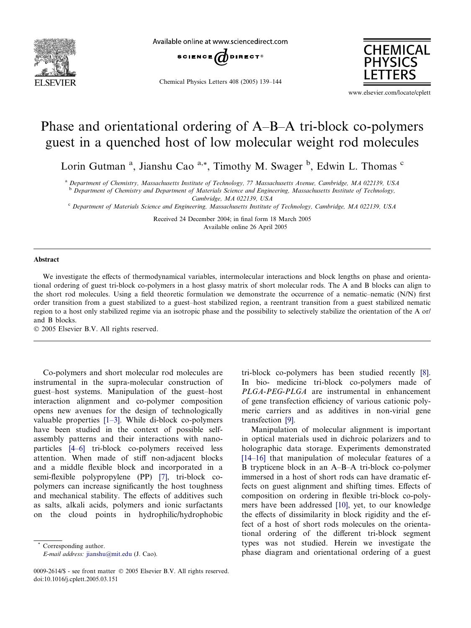

Available online at www.sciencedirect.com



Chemical Physics Letters 408 (2005) 139–144



www.elsevier.com/locate/cplett

## Phase and orientational ordering of A–B–A tri-block co-polymers guest in a quenched host of low molecular weight rod molecules

Lorin Gutman<sup>a</sup>, Jianshu Cao<sup>a,\*</sup>, Timothy M. Swager<sup>b</sup>, Edwin L. Thomas<sup>c</sup>

<sup>a</sup> Department of Chemistry, Massachusetts Institute of Technology, 77 Massachusetts Avenue, Cambridge, MA 022139, USA

**b** Department of Chemistry and Department of Materials Science and Engineering, Massachusetts Institute of Technology, Cambridge, MA 022139, USA

<sup>c</sup> Department of Materials Science and Engineering, Massachusetts Institute of Technology, Cambridge, MA 022139, USA

Received 24 December 2004; in final form 18 March 2005 Available online 26 April 2005

## Abstract

We investigate the effects of thermodynamical variables, intermolecular interactions and block lengths on phase and orientational ordering of guest tri-block co-polymers in a host glassy matrix of short molecular rods. The A and B blocks can align to the short rod molecules. Using a field theoretic formulation we demonstrate the occurrence of a nematic–nematic (N/N) first order transition from a guest stabilized to a guest–host stabilized region, a reentrant transition from a guest stabilized nematic region to a host only stabilized regime via an isotropic phase and the possibility to selectively stabilize the orientation of the A or/ and B blocks.

2005 Elsevier B.V. All rights reserved.

Co-polymers and short molecular rod molecules are instrumental in the supra-molecular construction of guest–host systems. Manipulation of the guest–host interaction alignment and co-polymer composition opens new avenues for the design of technologically valuable properties [\[1–3\]](#page-5-0). While di-block co-polymers have been studied in the context of possible selfassembly patterns and their interactions with nanoparticles [\[4–6\]](#page-5-0) tri-block co-polymers received less attention. When made of stiff non-adjacent blocks and a middle flexible block and incorporated in a semi-flexible polypropylene (PP) [\[7\]](#page-5-0), tri-block copolymers can increase significantly the host toughness and mechanical stability. The effects of additives such as salts, alkali acids, polymers and ionic surfactants on the cloud points in hydrophilic/hydrophobic

Corresponding author.

E-mail address: [jianshu@mit.edu](mailto:jianshu@mit.edu) (J. Cao).

tri-block co-polymers has been studied recently [\[8\].](#page-5-0) In bio- medicine tri-block co-polymers made of PLGA-PEG-PLGA are instrumental in enhancement of gene transfection efficiency of various cationic polymeric carriers and as additives in non-virial gene transfection [\[9\]](#page-5-0).

Manipulation of molecular alignment is important in optical materials used in dichroic polarizers and to holographic data storage. Experiments demonstrated [\[14–16\]](#page-5-0) that manipulation of molecular features of a B trypticene block in an A–B–A tri-block co-polymer immersed in a host of short rods can have dramatic effects on guest alignment and shifting times. Effects of composition on ordering in flexible tri-block co-polymers have been addressed [\[10\],](#page-5-0) yet, to our knowledge the effects of dissimilarity in block rigidity and the effect of a host of short rods molecules on the orientational ordering of the different tri-block segment types was not studied. Herein we investigate the phase diagram and orientational ordering of a guest

<sup>0009-2614/\$ -</sup> see front matter © 2005 Elsevier B.V. All rights reserved. doi:10.1016/j.cplett.2005.03.151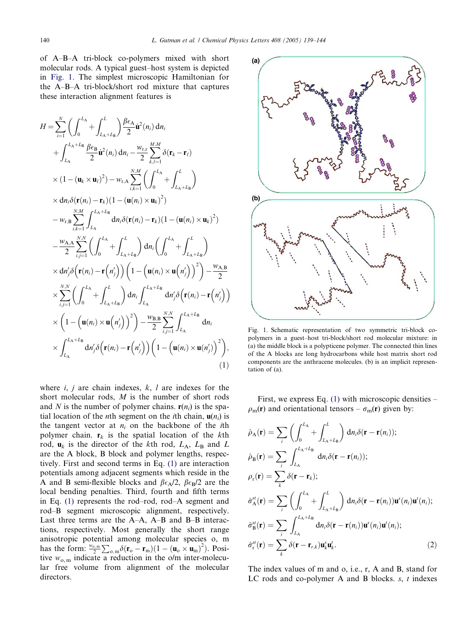<span id="page-1-0"></span>of A–B–A tri-block co-polymers mixed with short molecular rods. A typical guest–host system is depicted in Fig. 1. The simplest microscopic Hamiltonian for the A–B–A tri-block/short rod mixture that captures these interaction alignment features is

$$
H = \sum_{i=1}^{N} \left( \int_{0}^{L_{A}} + \int_{L_{A+L_{B}}}^{L} \right) \frac{\beta \epsilon_{A}}{2} \dot{\mathbf{u}}^{2}(n_{i}) d n_{i}
$$
  
+ 
$$
\int_{L_{A}}^{L_{A}+L_{B}} \frac{\beta \epsilon_{B}}{2} \dot{\mathbf{u}}^{2}(n_{i}) d n_{i} - \frac{w_{r,r}}{2} \sum_{k,l=1}^{M,M} \delta(\mathbf{r}_{k} - \mathbf{r}_{l})
$$
  
×  $(1 - (\mathbf{u}_{k} \times \mathbf{u}_{l})^{2}) - w_{r,A} \sum_{i,k=1}^{N,M} \left( \int_{0}^{L_{A}} + \int_{L_{A}+L_{B}}^{L} \right)$   
×  $d n_{i} \delta(\mathbf{r}(n_{i}) - \mathbf{r}_{k}) (1 - (\mathbf{u}(n_{i}) \times \mathbf{u}_{k})^{2})$   
-  $w_{r,B} \sum_{i,k=1}^{N,M} \int_{L_{A}}^{L_{A}+L_{B}} d n_{i} \delta(\mathbf{r}(n_{i}) - \mathbf{r}_{k}) (1 - (\mathbf{u}(n_{i}) \times \mathbf{u}_{k})^{2})$   
- 
$$
\frac{w_{A,A}}{2} \sum_{i,j=1}^{N,N} \left( \int_{0}^{L_{A}} + \int_{L_{A}+L_{B}}^{L} \right) d n_{i} \left( \int_{0}^{L_{A}} + \int_{L_{A}+L_{B}}^{L} \right)
$$
  
×  $d n'_{j} \delta(\mathbf{r}(n_{i}) - \mathbf{r}(n'_{j})) (1 - (\mathbf{u}(n_{i}) \times \mathbf{u}(n'_{j}))^{2}) - \frac{w_{A,B}}{2}$   
× 
$$
\sum_{i,j=1}^{N,N} \left( \int_{0}^{L_{A}} + \int_{L_{A}+L_{B}}^{L} \right) d n_{i} \int_{L_{A}}^{L_{A}+L_{B}} d n'_{j} \delta(\mathbf{r}(n_{i}) - \mathbf{r}(n'_{j}))
$$
  
×  $(1 - (\mathbf{u}(n_{i}) \times \mathbf{u}(n'_{j}))^{2}) - \frac{w_{B,B}}{2} \sum_{i,j=1}^{N,N} \int$ 

where  $i$ ,  $j$  are chain indexes,  $k$ ,  $l$  are indexes for the short molecular rods, M is the number of short rods and N is the number of polymer chains.  $r(n_i)$  is the spatial location of the *n*th segment on the *i*th chain,  $\mathbf{u}(n_i)$  is the tangent vector at  $n_i$  on the backbone of the *i*th polymer chain.  $r_k$  is the spatial location of the kth rod,  $\mathbf{u}_k$  is the director of the kth rod,  $L_A$ ,  $L_B$  and  $L$ are the A block, B block and polymer lengths, respectively. First and second terms in Eq. (1) are interaction potentials among adjacent segments which reside in the A and B semi-flexible blocks and  $\beta \epsilon_A/2$ ,  $\beta \epsilon_B/2$  are the local bending penalties. Third, fourth and fifth terms in Eq. (1) represents the rod–rod, rod–A segment and rod–B segment microscopic alignment, respectively. Last three terms are the A–A, A–B and B–B interactions, respectively. Most generally the short range anisotropic potential among molecular species o, m has the form:  $\frac{w_{0,m}}{2} \sum_{o,m} \delta(\mathbf{r}_o - \mathbf{r}_m) (1 - (\mathbf{u}_o \times \mathbf{u}_m)^2)$ . Positive  $w_{\text{o,m}}$  indicate a reduction in the o/m inter-molecular free volume from alignment of the molecular directors.



Fig. 1. Schematic representation of two symmetric tri-block copolymers in a guest–host tri-block/short rod molecular mixture: in (a) the middle block is a polypticene polymer. The connected thin lines of the A blocks are long hydrocarbons while host matrix short rod components are the anthracene molecules. (b) is an implicit representation of (a).

First, we express Eq.  $(1)$  with microscopic densities –  $\rho_{\rm m}(\mathbf{r})$  and orientational tensors –  $\sigma_{\rm m}(\mathbf{r})$  given by:

$$
\hat{\rho}_{A}(\mathbf{r}) = \sum_{i} \left( \int_{0}^{L_{A}} + \int_{L_{A}+L_{B}}^{L} \right) d n_{i} \delta(\mathbf{r} - \mathbf{r}(n_{i}));
$$
\n
$$
\hat{\rho}_{B}(\mathbf{r}) = \sum_{i} \int_{L_{A}}^{L_{A}+L_{B}} d n_{i} \delta(\mathbf{r} - \mathbf{r}(n_{i}));
$$
\n
$$
\rho_{r}(\mathbf{r}) = \sum_{k} \delta(\mathbf{r} - \mathbf{r}_{k});
$$
\n
$$
\hat{\sigma}_{A}^{st}(\mathbf{r}) = \sum_{i} \left( \int_{0}^{L_{A}} + \int_{L_{A}+L_{B}}^{L} \right) d n_{i} \delta(\mathbf{r} - \mathbf{r}(n_{i})) \mathbf{u}^{s}(n_{i}) \mathbf{u}^{t}(n_{i});
$$
\n
$$
\hat{\sigma}_{B}^{st}(\mathbf{r}) = \sum_{i} \int_{L_{A}}^{L_{A}+L_{B}} d n_{i} \delta(\mathbf{r} - \mathbf{r}(n_{i})) \mathbf{u}^{s}(n_{i}) \mathbf{u}^{t}(n_{i});
$$
\n
$$
\hat{\sigma}_{r}^{st}(\mathbf{r}) = \sum_{k} \delta(\mathbf{r} - \mathbf{r}_{r,k}) \mathbf{u}_{k}^{s} \mathbf{u}_{k}^{t}. \tag{2}
$$

The index values of m and o, i.e., r, A and B, stand for LC rods and co-polymer A and B blocks.  $s$ ,  $t$  indexes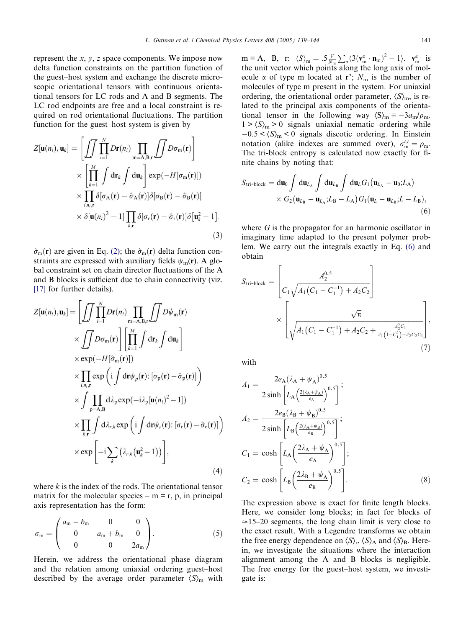represent the  $x$ ,  $y$ ,  $z$  space components. We impose now delta function constraints on the partition function of the guest–host system and exchange the discrete microscopic orientational tensors with continuous orientational tensors for LC rods and A and B segments. The LC rod endpoints are free and a local constraint is required on rod orientational fluctuations. The partition function for the guest–host system is given by

$$
Z[\mathbf{u}(n_i), \mathbf{u}_k] = \left[ \iint\limits_{i=1}^N \prod_{i=1}^N D\mathbf{r}(n_i) \prod_{m=A,B,r} \iint D\sigma_m(\mathbf{r}) \right] \times \left[ \prod_{k=1}^M \int d\mathbf{r}_k \int d\mathbf{u}_k \right] \exp(-H[\sigma_m(\mathbf{r})])
$$
  
 
$$
\times \prod_{i,n_i,\mathbf{r}} \delta[\sigma_A(\mathbf{r}) - \hat{\sigma}_A(\mathbf{r})] \delta[\sigma_B(\mathbf{r}) - \hat{\sigma}_B(\mathbf{r})]
$$
  
 
$$
\times \delta[\mathbf{u}(n_i)^2 - 1] \prod_{k,\mathbf{r}} \delta[\sigma_r(\mathbf{r}) - \hat{\sigma}_r(\mathbf{r})] \delta[\mathbf{u}_k^2 - 1].
$$
 (3)

 $\hat{\sigma}_{\rm m}(\mathbf{r})$  are given in Eq. [\(2\);](#page-1-0) the  $\hat{\sigma}_{\rm m}(\mathbf{r})$  delta function constraints are expressed with auxiliary fields  $\psi_{m}(\mathbf{r})$ . A global constraint set on chain director fluctuations of the A and B blocks is sufficient due to chain connectivity (viz. [\[17\]](#page-5-0) for further details).

$$
Z[\mathbf{u}(n_i), \mathbf{u}_k] = \left[ \iint \prod_{i=1}^N D\mathbf{r}(n_i) \prod_{m=A,B,r} \iint D\psi_m(\mathbf{r}) \times \iint D\sigma_m(\mathbf{r}) \right] \left[ \prod_{k=1}^M \int d\mathbf{r}_k \int d\mathbf{u}_k \right] \times \exp(-H[\hat{\sigma}_m(\mathbf{r})])
$$
  
 
$$
\times \prod_{i,n_i,\mathbf{r}} \exp\left(i \int d\mathbf{r} \psi_p(\mathbf{r}) : [\sigma_p(\mathbf{r}) - \hat{\sigma}_p(\mathbf{r})]\right) \times \int \prod_{p=A,B} d\lambda_p \exp(-i\lambda_p[\mathbf{u}(n_i)^2 - 1]) \times \prod_{k,r} \int d\lambda_{r,k} \exp\left(i \int d\mathbf{r} \psi_r(\mathbf{r}) : [\sigma_r(\mathbf{r}) - \hat{\sigma}_r(\mathbf{r})]\right) \times \exp\left[-i \sum_k (\lambda_{r,k}(\mathbf{u}_k^2 - 1))\right],
$$
 (4)

where  $k$  is the index of the rods. The orientational tensor matrix for the molecular species –  $m = r$ , p, in principal axis representation has the form:

$$
\sigma_{\rm m} = \begin{pmatrix} a_{\rm m} - b_{\rm m} & 0 & 0 \\ 0 & a_{\rm m} + b_{\rm m} & 0 \\ 0 & 0 & 2a_{\rm m} \end{pmatrix} . \tag{5}
$$

Herein, we address the orientational phase diagram and the relation among uniaxial ordering guest–host described by the average order parameter  $\langle S \rangle_m$  with

 $m = A$ , B, r:  $\langle S \rangle_m = .5 \frac{V}{N_m}$  $\sum_{\alpha} \langle 3(\mathbf{v}_{\rm m}^{\alpha} \cdot \mathbf{n}_{\rm m})^2 - 1 \rangle$ .  $\mathbf{v}_{\rm m}^{\alpha}$  is the unit vector which points along the long axis of molecule  $\alpha$  of type m located at  $\mathbf{r}^{\alpha}$ ;  $N_{\text{m}}$  is the number of molecules of type m present in the system. For uniaxial ordering, the orientational order parameter,  $\langle S \rangle_{\text{m}}$ , is related to the principal axis components of the orientational tensor in the following way  $\langle S \rangle_m = -3a_m/\rho_m$ .  $1 > \langle S \rangle_{\text{m}} > 0$  signals uniaxial nematic ordering while  $-0.5 < \langle S \rangle_{\text{m}} < 0$  signals discotic ordering. In Einstein notation (alike indexes are summed over),  $\sigma_{\rm m}^{t,t} = \rho_{\rm m}$ . The tri-block entropy is calculated now exactly for finite chains by noting that:

$$
S_{\text{tri-block}} = \mathrm{d}\mathbf{u}_0 \int \mathrm{d}\mathbf{u}_{L_{\text{A}}} \int \mathrm{d}\mathbf{u}_{L_{\text{B}}} \int \mathrm{d}\mathbf{u}_L G_1 (\mathbf{u}_{L_{\text{A}}} - \mathbf{u}_0; L_{\text{A}})
$$

$$
\times G_2 (\mathbf{u}_{L_{\text{B}}} - \mathbf{u}_{L_{\text{A}}}; L_{\text{B}} - L_{\text{A}}) G_1 (\mathbf{u}_L - \mathbf{u}_{L_{\text{B}}}; L - L_{\text{B}}),
$$
(6)

where  $G$  is the propagator for an harmonic oscillator in imaginary time adapted to the present polymer problem. We carry out the integrals exactly in Eq. (6) and obtain

$$
S_{\text{tri-block}} = \left[ \frac{A_2^{0.5}}{C_1 \sqrt{A_1 (C_1 - C_1^{-1}) + A_2 C_2}} \right] \times \left[ \frac{\sqrt{\pi}}{\sqrt{A_1 (C_1 - C_1^{-1}) + A_2 C_2 + \frac{A_2^2 C_1}{A_1 (1 - C_1^2) - A_2 C_2 C_1}}} \right],
$$
\n(7)

with

$$
A_1 = \frac{2e_A(\lambda_A + \psi_A)^{0.5}}{2\sinh\left[L_A\left(\frac{2(\lambda_A + \psi_A)}{e_A}\right)^{0.5}\right]};
$$
  
\n
$$
A_2 = \frac{2e_B(\lambda_B + \psi_B)^{0.5}}{2\sinh\left[L_B\left(\frac{2(\lambda_A + \psi_B)}{e_B}\right)^{0.5}\right]};
$$
  
\n
$$
C_1 = \cosh\left[L_A\left(\frac{2\lambda_A + \psi_A}{e_A}\right)^{0.5}\right];
$$
  
\n
$$
C_2 = \cosh\left[L_B\left(\frac{2\lambda_B + \psi_A}{e_B}\right)^{0.5}\right].
$$
\n(8)

The expression above is exact for finite length blocks. Here, we consider long blocks; in fact for blocks of  $\approx$ 15–20 segments, the long chain limit is very close to the exact result. With a Legendre transforms we obtain the free energy dependence on  $\langle S \rangle_{r}$ ,  $\langle S \rangle_{A}$  and  $\langle S \rangle_{B}$ . Herein, we investigate the situations where the interaction alignment among the A and B blocks is negligible. The free energy for the guest–host system, we investigate is: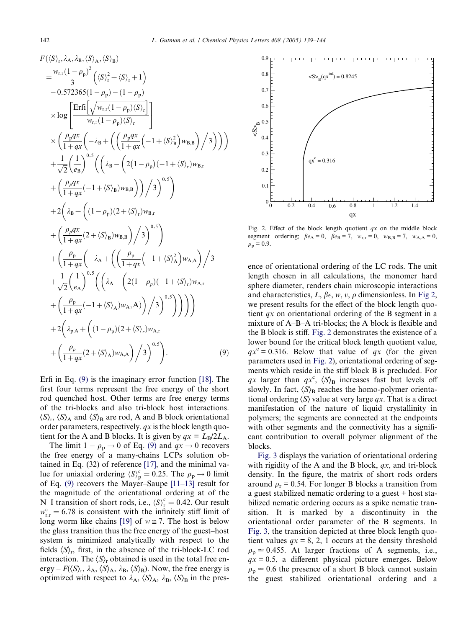$$
F(\langle S \rangle_r, \lambda_A, \lambda_B, \langle S \rangle_A, \langle S \rangle_B)
$$
\n
$$
= \frac{w_{r,r}(1-\rho_p)^2}{3} (\langle S \rangle_r^2 + \langle S \rangle_r + 1)
$$
\n
$$
-0.572365(1-\rho_p) - (1-\rho_p)
$$
\n
$$
\times \log \left[ \frac{\text{Erfi} \left[ \sqrt{w_{r,r}(1-\rho_p) \langle S \rangle_r} \right]}{w_{r,r}(1-\rho_p) \langle S \rangle_r} \right]
$$
\n
$$
\times \left( \frac{\rho_p g x}{1+q x} \left( -\lambda_B + \left( \left( \frac{\rho_p g x}{1+q x} \left( -1 + \langle S \rangle_B^2 \right) w_{B,B} \right) \right/ 3 \right) \right) \right)
$$
\n
$$
+ \frac{1}{\sqrt{2}} \left( \frac{1}{e_B} \right)^{0.5} \left( \left( \lambda_B - \left( 2(1-\rho_p)(-1 + \langle S \rangle_r) w_{B,r} \right) + \left( \frac{\rho_p g x}{1+q x} (-1 + \langle S \rangle_B) w_{B,B} \right) \right/ 3 \right)^{0.5} \right)
$$
\n
$$
+ 2 \left( \lambda_B + \left( (1-\rho_p)(2 + \langle S \rangle_r) w_{B,r} \right) + \left( \frac{\rho_p g x}{1+q x} (2 + \langle S \rangle_B) w_{B,B} \right) / 3 \right)^{0.5} \right)
$$
\n
$$
+ \left( \frac{\rho_p g x}{1+q x} \left( -\lambda_A + \left( \left( \frac{\rho_p}{1+q x} \left( -1 + \langle S \rangle_A^2 \right) w_{A,A} \right) \right/ 3 + \frac{1}{\sqrt{2}} \left( \frac{1}{e_A} \right)^{0.5} \left( \left( \lambda_A - \left( 2(1-\rho_p)(-1 + \langle S \rangle_r) w_{A,r} \right) + \left( \frac{\rho_p}{1+q x} (-1 + \langle S \rangle_A) w_{A,A} \right) \right/ 3 \right)^{0.5} \right) \right) \right)
$$
\n
$$
+ 2 \left( \lambda_{p,A} + \left( (1-\rho_p)(2 + \langle S \rangle_r) w_{A,r} \right)
$$
\n
$$
+ \left(
$$

Erfi in Eq. (9) is the imaginary error function [\[18\]](#page-5-0). The first four terms represent the free energy of the short rod quenched host. Other terms are free energy terms of the tri-blocks and also tri-block host interactions.  $\langle S \rangle_r$ ,  $\langle S \rangle_A$  and  $\langle S \rangle_B$  are rod, A and B block orientational order parameters, respectively.  $qx$  is the block length quotient for the A and B blocks. It is given by  $qx = L_B/2L_A$ .

The limit  $1 - \rho_p \rightarrow 0$  of Eq. (9) and  $qx \rightarrow 0$  recovers the free energy of a many-chains LCPs solution obtained in Eq. (32) of reference [\[17\]](#page-5-0), and the minimal value for uniaxial ordering  $\langle S \rangle_p^c = 0.25$ . The  $\rho_p \rightarrow 0$  limit of Eq. (9) recovers the Mayer–Saupe [\[11–13\]](#page-5-0) result for the magnitude of the orientational ordering at of the N–I transition of short rods, i.e.,  $\langle S \rangle_r^c = 0.42$ . Our result  $w_{r,r}^c = 6.78$  is consistent with the infinitely stiff limit of long worm like chains [\[19\]](#page-5-0) of  $w \approx 7$ . The host is below the glass transition thus the free energy of the guest–host system is minimized analytically with respect to the fields  $\langle S \rangle_r$ , first, in the absence of the tri-block-LC rod interaction. The  $\langle S \rangle_r$  obtained is used in the total free energy –  $F(\langle S \rangle_r, \lambda_A, \langle S \rangle_A, \lambda_B, \langle S \rangle_B)$ . Now, the free energy is optimized with respect to  $\lambda_A$ ,  $\langle S \rangle_A$ ,  $\lambda_B$ ,  $\langle S \rangle_B$  in the pres-



Fig. 2. Effect of the block length quotient  $qx$  on the middle block segment ordering;  $\beta e_A = 0$ ,  $\beta e_B = 7$ ,  $w_{r,r} = 0$ ,  $w_{B,B} = 7$ ,  $w_{A,A} = 0$ ,  $\rho_p = 0.9.$ 

ence of orientational ordering of the LC rods. The unit length chosen in all calculations, the monomer hard sphere diameter, renders chain microscopic interactions and characteristics, L,  $\beta \epsilon$ , w, v,  $\rho$  dimensionless. In Fig 2, we present results for the effect of the block length quotient *qx* on orientational ordering of the B segment in a mixture of A–B–A tri-blocks; the A block is flexible and the B block is stiff. Fig. 2 demonstrates the existence of a lower bound for the critical block length quotient value,  $qx^c = 0.316$ . Below that value of qx (for the given parameters used in Fig. 2), orientational ordering of segments which reside in the stiff block B is precluded. For qx larger than  $qx^c$ ,  $\langle S \rangle_B$  increases fast but levels off slowly. In fact,  $\langle S \rangle_B$  reaches the homo-polymer orientational ordering  $\langle S \rangle$  value at very large qx. That is a direct manifestation of the nature of liquid crystallinity in polymers; the segments are connected at the endpoints with other segments and the connectivity has a significant contribution to overall polymer alignment of the blocks.

[Fig. 3](#page-4-0) displays the variation of orientational ordering with rigidity of the A and the B block,  $qx$ , and tri-block density. In the figure, the matrix of short rods orders around  $\rho_r = 0.54$ . For longer B blocks a transition from a guest stabilized nematic ordering to a guest + host stabilized nematic ordering occurs as a spike nematic transition. It is marked by a discontinuity in the orientational order parameter of the B segments. In [Fig. 3](#page-4-0), the transition depicted at three block length quotient values  $qx = 8, 2, 1$  occurs at the density threshold  $\rho_p \approx 0.455$ . At larger fractions of A segments, i.e.,  $qx = 0.5$ , a different physical picture emerges. Below  $\rho_p \approx 0.6$  the presence of a short B block cannot sustain the guest stabilized orientational ordering and a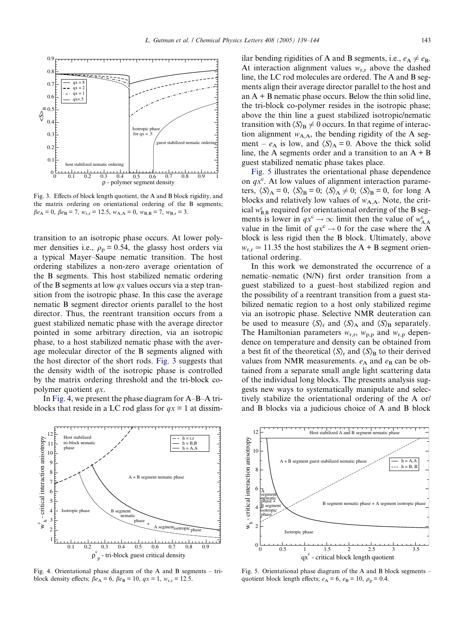<span id="page-4-0"></span>

Fig. 3. Effects of block length quotient, the A and B block rigidity, and the matrix ordering on orientational ordering of the B segments;  $\beta e_A = 0$ ,  $\beta e_B = 7$ ,  $w_{r,r} = 12.5$ ,  $w_{A,A} = 0$ ,  $w_{B,B} = 7$ ,  $w_{B,r} = 3$ .

transition to an isotropic phase occurs. At lower polymer densities i.e.,  $\rho_p = 0.54$ , the glassy host orders via a typical Mayer–Saupe nematic transition. The host ordering stabilizes a non-zero average orientation of the B segments. This host stabilized nematic ordering of the B segments at low  $qx$  values occurs via a step transition from the isotropic phase. In this case the average nematic B segment director orients parallel to the host director. Thus, the reentrant transition occurs from a guest stabilized nematic phase with the average director pointed in some arbitrary direction, via an isotropic phase, to a host stabilized nematic phase with the average molecular director of the B segments aligned with the host director of the short rods. Fig. 3 suggests that the density width of the isotropic phase is controlled by the matrix ordering threshold and the tri-block copolymer quotient qx.

In Fig. 4, we present the phase diagram for A–B–A triblocks that reside in a LC rod glass for  $qx = 1$  at dissim-



Fig. 4. Orientational phase diagram of the A and B segments – triblock density effects;  $\beta e_A = 6$ ,  $\beta e_B = 10$ ,  $qx = 1$ ,  $w_{r,r} = 12.5$ .

ilar bending rigidities of A and B segments, i.e.,  $e_A \neq e_B$ . At interaction alignment values  $w_{r,r}$  above the dashed line, the LC rod molecules are ordered. The A and B segments align their average director parallel to the host and an  $A + B$  nematic phase occurs. Below the thin solid line, the tri-block co-polymer resides in the isotropic phase; above the thin line a guest stabilized isotropic/nematic transition with  $\langle S \rangle_B \neq 0$  occurs. In that regime of interaction alignment  $w_{A,A}$ , the bending rigidity of the A segment –  $e_A$  is low, and  $\langle S \rangle_A = 0$ . Above the thick solid line, the A segments order and a transition to an  $A + B$ guest stabilized nematic phase takes place.

Fig. 5 illustrates the orientational phase dependence on  $qx^c$ . At low values of alignment interaction parameters,  $\langle S \rangle_A = 0$ ,  $\langle S \rangle_B = 0$ ;  $\langle S \rangle_A \neq 0$ ;  $\langle S \rangle_B = 0$ , for long A blocks and relatively low values of  $w_{A,A}$ . Note, the critical  $w_{B,B}^c$  required for orientational ordering of the B segments is lower in  $qx^c \to \infty$  limit then the value of  $w^c_{A,A}$ value in the limit of  $qx^c \rightarrow 0$  for the case where the A block is less rigid then the B block. Ultimately, above  $w_{r,r} \approx 11.35$  the host stabilizes the A + B segment orientational ordering.

In this work we demonstrated the occurrence of a nematic–nematic (N/N) first order transition from a guest stabilized to a guest–host stabilized region and the possibility of a reentrant transition from a guest stabilized nematic region to a host only stabilized regime via an isotropic phase. Selective NMR deuteration can be used to measure  $\langle S \rangle_r$  and  $\langle S \rangle_A$  and  $\langle S \rangle_B$  separately. The Hamiltonian parameters  $w_{r,r}$ ,  $w_{p,p}$  and  $w_{r,p}$  dependence on temperature and density can be obtained from a best fit of the theoretical  $\langle S \rangle$ <sub>r</sub> and  $\langle S \rangle$ <sub>B</sub> to their derived values from NMR measurements.  $e_A$  and  $e_B$  can be obtained from a separate small angle light scattering data of the individual long blocks. The presents analysis suggests new ways to systematically manipulate and selectively stabilize the orientational ordering of the A or/ and B blocks via a judicious choice of A and B block



Fig. 5. Orientational phase diagram of the A and B block segments – quotient block length effects;  $e_A = 6$ ,  $e_B = 10$ ,  $\rho_p = 0.4$ .